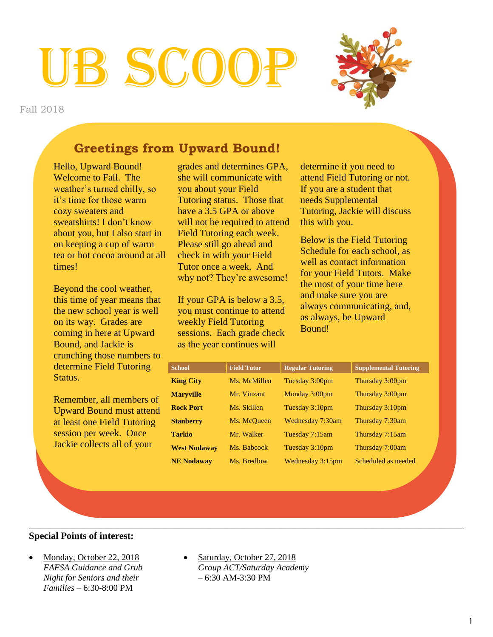# HB SCO

Fall 2018



# **Greetings from Upward Bound!**

Hello, Upward Bound! Welcome to Fall. The weather's turned chilly, so it's time for those warm cozy sweaters and sweatshirts! I don't know about you, but I also start in on keeping a cup of warm tea or hot cocoa around at all times!

Beyond the cool weather, this time of year means that the new school year is well on its way. Grades are coming in here at Upward Bound, and Jackie is crunching those numbers to determine Field Tutoring Status.

Remember, all members of Upward Bound must attend at least one Field Tutoring session per week. Once Jackie collects all of your

grades and determines GPA, she will communicate with you about your Field Tutoring status. Those that have a 3.5 GPA or above will not be required to attend Field Tutoring each week. Please still go ahead and check in with your Field Tutor once a week. And why not? They're awesome!

If your GPA is below a 3.5, you must continue to attend weekly Field Tutoring sessions. Each grade check as the year continues will

determine if you need to attend Field Tutoring or not. If you are a student that needs Supplemental Tutoring, Jackie will discuss this with you.

Below is the Field Tutoring Schedule for each school, as well as contact information for your Field Tutors. Make the most of your time here and make sure you are always communicating, and, as always, be Upward Bound!

| <b>School</b>       | <b>Field Tutor</b> | <b>Regular Tutoring</b> | <b>Supplemental Tutoring</b> |
|---------------------|--------------------|-------------------------|------------------------------|
| <b>King City</b>    | Ms. McMillen       | Tuesday 3:00pm          | Thursday 3:00pm              |
| <b>Maryville</b>    | Mr. Vinzant        | Monday 3:00pm           | Thursday 3:00pm              |
| <b>Rock Port</b>    | Ms. Skillen        | Tuesday 3:10pm          | Thursday 3:10pm              |
| <b>Stanberry</b>    | Ms. McQueen        | Wednesday 7:30am        | Thursday 7:30am              |
| <b>Tarkio</b>       | Mr. Walker         | Tuesday 7:15am          | Thursday 7:15am              |
| <b>West Nodaway</b> | Ms. Babcock        | Tuesday 3:10pm          | Thursday 7:00am              |
| <b>NE Nodaway</b>   | Ms. Bredlow        | Wednesday 3:15pm        | Scheduled as needed          |

#### \_\_\_\_\_\_\_\_\_\_\_\_\_\_\_\_\_\_\_\_\_\_\_\_\_\_\_\_\_\_\_\_\_\_\_\_\_\_\_\_\_\_\_\_\_\_\_\_\_\_\_\_\_\_\_\_\_\_\_\_\_\_\_\_\_\_\_\_\_\_\_\_\_\_\_\_\_\_\_\_\_\_\_\_\_\_\_\_\_\_ **Special Points of interest:**

- Monday, October 22, 2018 *FAFSA Guidance and Grub Night for Seniors and their Families –* 6:30-8:00 PM
- Saturday, October 27, 2018 *Group ACT/Saturday Academy –* 6:30 AM-3:30 PM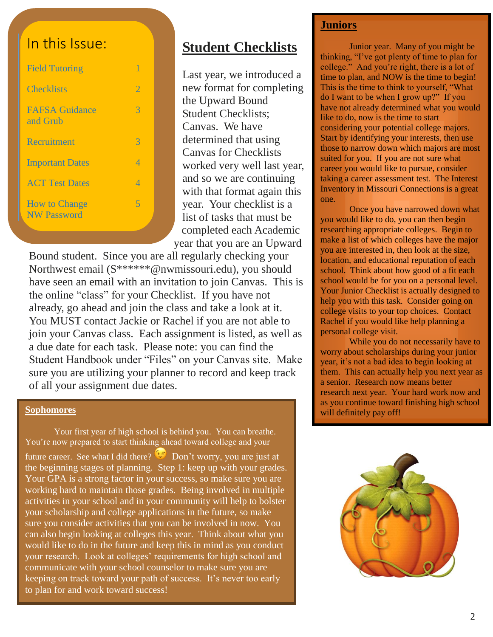# In this Issue:

| <b>Field Tutoring</b>                      |                |
|--------------------------------------------|----------------|
| <b>Checklists</b>                          | 2              |
| <b>FAFSA</b> Guidance<br>and Grub          | 3              |
| <b>Recruitment</b>                         | 3              |
| <b>Important Dates</b>                     | 4              |
| <b>ACT Test Dates</b>                      | 4              |
| <b>How to Change</b><br><b>NW Password</b> | $\overline{5}$ |

# **Student Checklists**

Last year, we introduced a new format for completing the Upward Bound Student Checklists; Canvas. We have determined that using Canvas for Checklists worked very well last year, and so we are continuing with that format again this year. Your checklist is a list of tasks that must be completed each Academic year that you are an Upward

Bound student. Since you are all regularly checking your Northwest email (S\*\*\*\*\*\*@nwmissouri.edu), you should have seen an email with an invitation to join Canvas. This is the online "class" for your Checklist. If you have not already, go ahead and join the class and take a look at it. You MUST contact Jackie or Rachel if you are not able to join your Canvas class. Each assignment is listed, as well as a due date for each task. Please note: you can find the Student Handbook under "Files" on your Canvas site. Make sure you are utilizing your planner to record and keep track of all your assignment due dates.

#### **Sophomores**

Your first year of high school is behind you. You can breathe. You're now prepared to start thinking ahead toward college and your future career. See what I did there?  $\mathbb{C}$  Don't worry, you are just at the beginning stages of planning. Step 1: keep up with your grades. Your GPA is a strong factor in your success, so make sure you are working hard to maintain those grades. Being involved in multiple activities in your school and in your community will help to bolster your scholarship and college applications in the future, so make sure you consider activities that you can be involved in now. You can also begin looking at colleges this year. Think about what you would like to do in the future and keep this in mind as you conduct your research. Look at colleges' requirements for high school and communicate with your school counselor to make sure you are keeping on track toward your path of success. It's never too early to plan for and work toward success!

#### **Juniors**

Junior year. Many of you might be thinking, "I've got plenty of time to plan for college." And you're right, there is a lot of time to plan, and NOW is the time to begin! This is the time to think to yourself, "What do I want to be when I grow up?" If you have not already determined what you would like to do, now is the time to start considering your potential college majors. Start by identifying your interests, then use those to narrow down which majors are most suited for you. If you are not sure what career you would like to pursue, consider taking a career assessment test. The Interest Inventory in Missouri Connections is a great one.

Once you have narrowed down what you would like to do, you can then begin researching appropriate colleges. Begin to make a list of which colleges have the major you are interested in, then look at the size, location, and educational reputation of each school. Think about how good of a fit each school would be for you on a personal level. Your Junior Checklist is actually designed to help you with this task. Consider going on college visits to your top choices. Contact Rachel if you would like help planning a personal college visit.

While you do not necessarily have to worry about scholarships during your junior year, it's not a bad idea to begin looking at them. This can actually help you next year as a senior. Research now means better research next year. Your hard work now and as you continue toward finishing high school will definitely pay off!

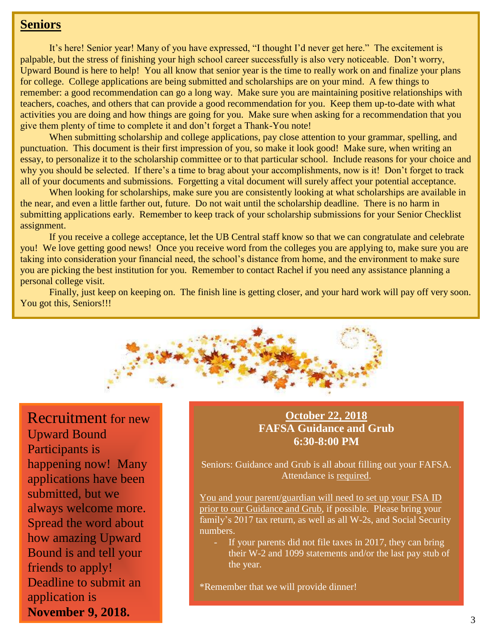## **Seniors**

It's here! Senior year! Many of you have expressed, "I thought I'd never get here." The excitement is palpable, but the stress of finishing your high school career successfully is also very noticeable. Don't worry, Upward Bound is here to help! You all know that senior year is the time to really work on and finalize your plans for college. College applications are being submitted and scholarships are on your mind. A few things to remember: a good recommendation can go a long way. Make sure you are maintaining positive relationships with teachers, coaches, and others that can provide a good recommendation for you. Keep them up-to-date with what activities you are doing and how things are going for you. Make sure when asking for a recommendation that you give them plenty of time to complete it and don't forget a Thank-You note!

When submitting scholarship and college applications, pay close attention to your grammar, spelling, and punctuation. This document is their first impression of you, so make it look good! Make sure, when writing an essay, to personalize it to the scholarship committee or to that particular school. Include reasons for your choice and why you should be selected. If there's a time to brag about your accomplishments, now is it! Don't forget to track all of your documents and submissions. Forgetting a vital document will surely affect your potential acceptance.

When looking for scholarships, make sure you are consistently looking at what scholarships are available in the near, and even a little farther out, future. Do not wait until the scholarship deadline. There is no harm in submitting applications early. Remember to keep track of your scholarship submissions for your Senior Checklist assignment.

If you receive a college acceptance, let the UB Central staff know so that we can congratulate and celebrate you! We love getting good news! Once you receive word from the colleges you are applying to, make sure you are taking into consideration your financial need, the school's distance from home, and the environment to make sure you are picking the best institution for you. Remember to contact Rachel if you need any assistance planning a personal college visit.

Finally, just keep on keeping on. The finish line is getting closer, and your hard work will pay off very soon. You got this, Seniors!!!



Recruitment for new Upward Bound Participants is happening now! Many applications have been submitted, but we always welcome more. Spread the word about how amazing Upward Bound is and tell your friends to apply! Deadline to submit an application is **November 9, 2018.**

### **October 22, 2018 FAFSA Guidance and Grub 6:30-8:00 PM**

Seniors: Guidance and Grub is all about filling out your FAFSA. Attendance is required.

You and your parent/guardian will need to set up your FSA ID prior to our Guidance and Grub, if possible. Please bring your family's 2017 tax return, as well as all W-2s, and Social Security numbers.

If your parents did not file taxes in 2017, they can bring their W-2 and 1099 statements and/or the last pay stub of the year.

\*Remember that we will provide dinner!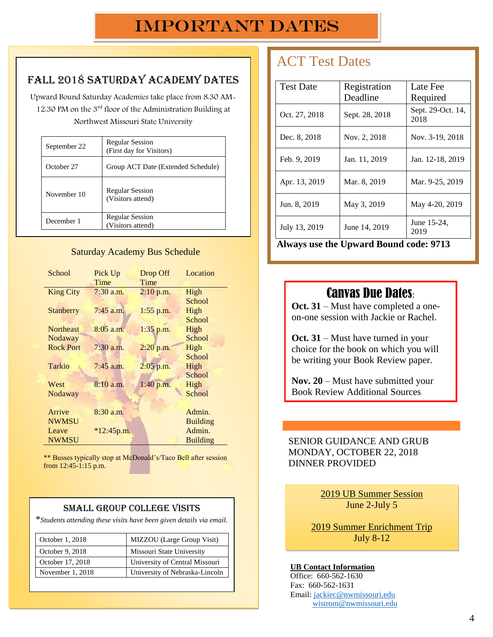# Fall 2018 Saturday Academy Dates

Upward Bound Saturday Academies take place from 8:30 AM-12:30 PM on the 3rd floor of the Administration Building at Northwest Missouri State University

| September 22 | <b>Regular Session</b><br>(First day for Visitors) |
|--------------|----------------------------------------------------|
| October 27   | Group ACT Date (Extended Schedule)                 |
| November 10  | <b>Regular Session</b><br>(Visitors attend)        |
| December 1   | <b>Regular Session</b><br>(Visitors attend)        |

#### Saturday Academy Bus Schedule

| School           | Pick Up      | Drop Off    | Location        |
|------------------|--------------|-------------|-----------------|
|                  | Time         | Time        |                 |
| <b>King City</b> | $7:30$ a.m.  | $2:10$ p.m. | High            |
|                  |              |             | School          |
| <b>Stanberry</b> | $7:45$ a.m.  | $1:55$ p.m. | High            |
|                  |              |             | School          |
| <b>Northeast</b> | $8:05$ a.m.  | $1:35$ p.m. | High            |
| Nodaway          |              |             | School          |
| <b>Rock Port</b> | $7:30$ a.m.  | $2:20$ p.m. | High            |
|                  |              |             | School          |
| <b>Tarkio</b>    | $7:45$ a.m.  | 2:05 p.m.   | High            |
|                  |              |             | School          |
| West             | $8:10$ a.m.  | $1:40$ p.m. | High            |
| Nodaway          |              |             | School          |
|                  |              |             |                 |
| Arrive           | $8:30$ a.m.  |             | Admin.          |
| <b>NWMSU</b>     |              |             | <b>Building</b> |
| Leave            | $*12:45p.m.$ |             | Admin.          |
| <b>NWMSU</b>     |              |             | <b>Building</b> |
|                  |              |             |                 |

\*\* Busses typically stop at McDonald's/Taco Bell after session from 12:45-1:15 p.m.

#### Small Group College Visits

\**Students attending these visits have been given details via email.*

| October 1, 2018  | MIZZOU (Large Group Visit)     |
|------------------|--------------------------------|
| October 9, 2018  | Missouri State University      |
| October 17, 2018 | University of Central Missouri |
| November 1, 2018 | University of Nebraska-Lincoln |

# ACT Test Dates

| <b>Test Date</b> | Registration<br>Deadline | Late Fee<br>Required      |
|------------------|--------------------------|---------------------------|
| Oct. 27, 2018    | Sept. 28, 2018           | Sept. 29-Oct. 14,<br>2018 |
| Dec. 8, 2018     | Nov. 2, 2018             | Nov. 3-19, 2018           |
| Feb. 9, 2019     | Jan. 11, 2019            | Jan. 12-18, 2019          |
| Apr. 13, 2019    | Mar. 8, 2019             | Mar. 9-25, 2019           |
| Jun. 8, 2019     | May 3, 2019              | May 4-20, 2019            |
| July 13, 2019    | June 14, 2019            | June 15-24,<br>2019       |

**Always use the Upward Bound code: 9713**

# **For more information go to http://www.actstudent.org/**

 $\mathcal{L}^{\text{max}}(\mathcal{L}^{\text{max}})$  and  $\mathcal{L}^{\text{max}}(\mathcal{L}^{\text{max}})$  and  $\mathcal{L}^{\text{max}}(\mathcal{L}^{\text{max}})$ 

**Oct. 31** – Must have completed a oneon-one session with Jackie or Rachel.

**Oct. 31** – Must have turned in your choice for the book on which you will be writing your Book Review paper.

**Nov. 20** – Must have submitted your Book Review Additional Sources

#### SENIOR GUIDANCE AND GRUB MONDAY, OCTOBER 22, 2018 DINNER PROVIDED

2019 UB Summer Session June 2-July 5

2019 Summer Enrichment Trip July 8-12

#### **UB Contact Information**

Office: 660-562-1630 Fax: 660-562-1631 Email[: jackiec@nwmissouri.edu](mailto:jackiec@nwmissouri.edu) [wistrom@nwmissouri.edu](mailto:wistrom@nwmissouri.edu)